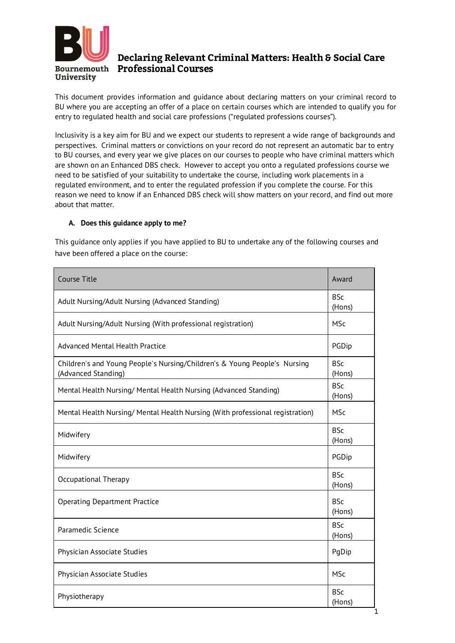

# Declaring Relevant Criminal Matters: Health & Social Care **Bournemouth Professional Courses**

This document provides information and guidance about declaring matters on your criminal record to BU where you are accepting an offer of a place on certain courses which are intended to qualify you for entry to regulated health and social care professions ("regulated professions courses").

Inclusivity is a key aim for BU and we expect our students to represent a wide range of backgrounds and perspectives. Criminal matters or convictions on your record do not represent an automatic bar to entry to BU courses, and every year we give places on our courses to people who have criminal matters which are shown on an Enhanced DBS check. However to accept you onto a regulated professions course we need to be satisfied of your suitability to undertake the course, including work placements in a regulated environment, and to enter the regulated profession if you complete the course. For this reason we need to know if an Enhanced DBS check will show matters on your record, and find out more about that matter.

## **A. Does this guidance apply to me?**

This guidance only applies if you have applied to BU to undertake any of the following courses and have been offered a place on the course:

| <b>Course Title</b>                                                                              | Award                |
|--------------------------------------------------------------------------------------------------|----------------------|
| Adult Nursing/Adult Nursing (Advanced Standing)                                                  | <b>BSc</b><br>(Hons) |
| Adult Nursing/Adult Nursing (With professional registration)                                     | <b>MSc</b>           |
| <b>Advanced Mental Health Practice</b>                                                           | PGDip                |
| Children's and Young People's Nursing/Children's & Young People's Nursing<br>(Advanced Standing) | <b>BSc</b><br>(Hons) |
| Mental Health Nursing/ Mental Health Nursing (Advanced Standing)                                 | <b>BSc</b><br>(Hons) |
| Mental Health Nursing/ Mental Health Nursing (With professional registration)                    | <b>MSc</b>           |
| Midwifery                                                                                        | <b>BSc</b><br>(Hons) |
| Midwifery                                                                                        | PGDip                |
| Occupational Therapy                                                                             | <b>BSc</b><br>(Hons) |
| <b>Operating Department Practice</b>                                                             | <b>BSc</b><br>(Hons) |
| Paramedic Science                                                                                | <b>BSc</b><br>(Hons) |
| Physician Associate Studies                                                                      | PgDip                |
| Physician Associate Studies                                                                      | <b>MSc</b>           |
| Physiotherapy                                                                                    | <b>BSc</b><br>(Hons) |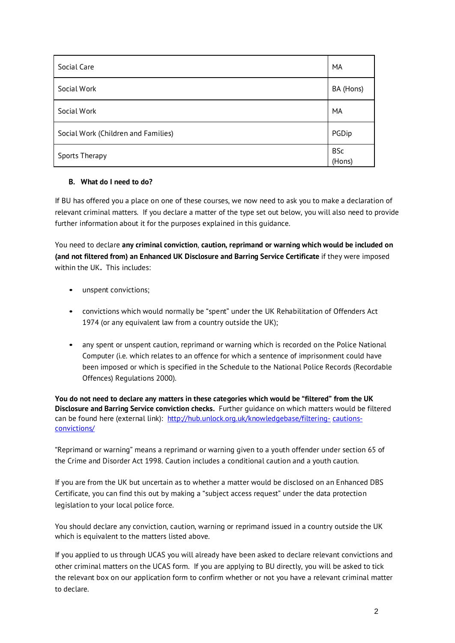| Social Care                         | MA                   |
|-------------------------------------|----------------------|
| Social Work                         | BA (Hons)            |
| Social Work                         | MA                   |
| Social Work (Children and Families) | PGDip                |
| Sports Therapy                      | <b>BSc</b><br>(Hons) |

## **B. What do I need to do?**

If BU has offered you a place on one of these courses, we now need to ask you to make a declaration of relevant criminal matters. If you declare a matter of the type set out below, you will also need to provide further information about it for the purposes explained in this guidance.

You need to declare **any criminal conviction**, **caution, reprimand or warning which would be included on (and not filtered from) an Enhanced UK Disclosure and Barring Service Certificate** if they were imposed within the UK**.** This includes:

- unspent convictions;
- convictions which would normally be "spent" under the UK Rehabilitation of Offenders Act 1974 (or any equivalent law from a country outside the UK);
- any spent or unspent caution, reprimand or warning which is recorded on the Police National Computer (i.e. which relates to an offence for which a sentence of imprisonment could have been imposed or which is specified in the Schedule to the National Police Records (Recordable Offences) Regulations 2000).

You do not need to declare any matters in these categories which would be "filtered" from the UK **Disclosure and Barring Service conviction checks.** Further guidance on which matters would be filtered can be found here (external link): [http://hub.unlock.org.uk/knowledgebase/filtering-](http://hub.unlock.org.uk/knowledgebase/filtering-cautions-convictions/) [cautions](http://hub.unlock.org.uk/knowledgebase/filtering-cautions-convictions/)[convictions/](http://hub.unlock.org.uk/knowledgebase/filtering-cautions-convictions/)

"Reprimand or warning" means a reprimand or warning given to a youth offender under section 65 of the Crime and Disorder Act 1998. Caution includes a conditional caution and a youth caution.

If you are from the UK but uncertain as to whether a matter would be disclosed on an Enhanced DBS Certificate, you can find this out by making a "subject access request" under the data protection legislation to your local police force.

You should declare any conviction, caution, warning or reprimand issued in a country outside the UK which is equivalent to the matters listed above.

If you applied to us through UCAS you will already have been asked to declare relevant convictions and other criminal matters on the UCAS form. If you are applying to BU directly, you will be asked to tick the relevant box on our application form to confirm whether or not you have a relevant criminal matter to declare.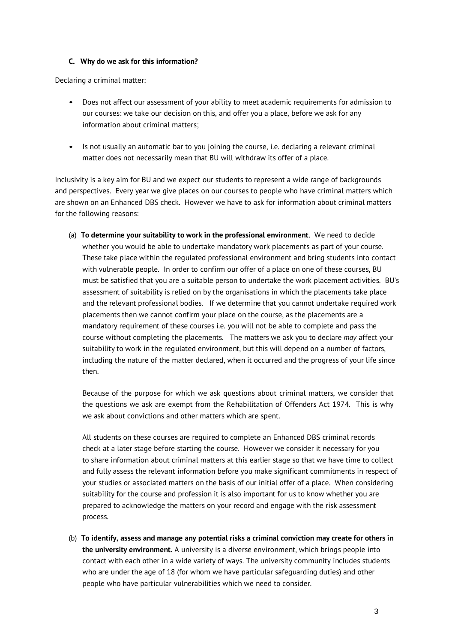#### **C. Why do we ask for this information?**

Declaring a criminal matter:

- Does not affect our assessment of your ability to meet academic requirements for admission to our courses: we take our decision on this, and offer you a place, before we ask for any information about criminal matters;
- Is not usually an automatic bar to you joining the course, i.e. declaring a relevant criminal matter does not necessarily mean that BU will withdraw its offer of a place.

Inclusivity is a key aim for BU and we expect our students to represent a wide range of backgrounds and perspectives. Every year we give places on our courses to people who have criminal matters which are shown on an Enhanced DBS check. However we have to ask for information about criminal matters for the following reasons:

(a) **To determine your suitability to work in the professional environment**. We need to decide whether you would be able to undertake mandatory work placements as part of your course. These take place within the regulated professional environment and bring students into contact with vulnerable people. In order to confirm our offer of a place on one of these courses, BU must be satisfied that you are a suitable person to undertake the work placement activities. BU's assessment of suitability is relied on by the organisations in which the placements take place and the relevant professional bodies. If we determine that you cannot undertake required work placements then we cannot confirm your place on the course, as the placements are a mandatory requirement of these courses i.e. you will not be able to complete and pass the course without completing the placements. The matters we ask you to declare *may* affect your suitability to work in the regulated environment, but this will depend on a number of factors, including the nature of the matter declared, when it occurred and the progress of your life since then.

Because of the purpose for which we ask questions about criminal matters, we consider that the questions we ask are exempt from the Rehabilitation of Offenders Act 1974. This is why we ask about convictions and other matters which are spent.

All students on these courses are required to complete an Enhanced DBS criminal records check at a later stage before starting the course. However we consider it necessary for you to share information about criminal matters at this earlier stage so that we have time to collect and fully assess the relevant information before you make significant commitments in respect of your studies or associated matters on the basis of our initial offer of a place. When considering suitability for the course and profession it is also important for us to know whether you are prepared to acknowledge the matters on your record and engage with the risk assessment process.

(b) **To identify, assess and manage any potential risks a criminal conviction may create for others in the university environment.** A university is a diverse environment, which brings people into contact with each other in a wide variety of ways. The university community includes students who are under the age of 18 (for whom we have particular safeguarding duties) and other people who have particular vulnerabilities which we need to consider.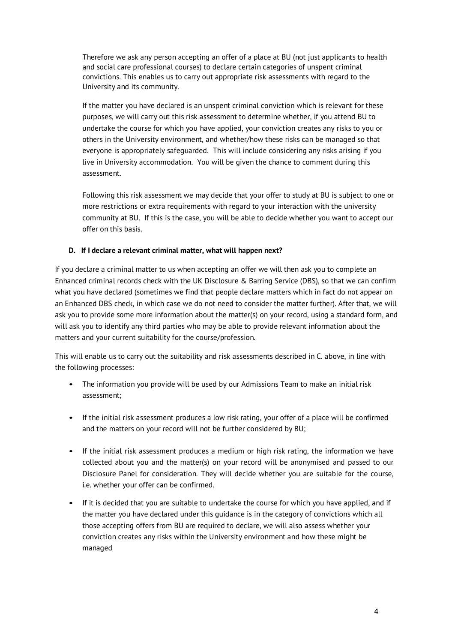Therefore we ask any person accepting an offer of a place at BU (not just applicants to health and social care professional courses) to declare certain categories of unspent criminal convictions. This enables us to carry out appropriate risk assessments with regard to the University and its community.

If the matter you have declared is an unspent criminal conviction which is relevant for these purposes, we will carry out this risk assessment to determine whether, if you attend BU to undertake the course for which you have applied, your conviction creates any risks to you or others in the University environment, and whether/how these risks can be managed so that everyone is appropriately safeguarded. This will include considering any risks arising if you live in University accommodation. You will be given the chance to comment during this assessment.

Following this risk assessment we may decide that your offer to study at BU is subject to one or more restrictions or extra requirements with regard to your interaction with the university community at BU. If this is the case, you will be able to decide whether you want to accept our offer on this basis.

## **D. If I declare a relevant criminal matter, what will happen next?**

If you declare a criminal matter to us when accepting an offer we will then ask you to complete an Enhanced criminal records check with the UK Disclosure & Barring Service (DBS), so that we can confirm what you have declared (sometimes we find that people declare matters which in fact do not appear on an Enhanced DBS check, in which case we do not need to consider the matter further). After that, we will ask you to provide some more information about the matter(s) on your record, using a standard form, and will ask you to identify any third parties who may be able to provide relevant information about the matters and your current suitability for the course/profession.

This will enable us to carry out the suitability and risk assessments described in C. above, in line with the following processes:

- The information you provide will be used by our Admissions Team to make an initial risk assessment;
- If the initial risk assessment produces a low risk rating, your offer of a place will be confirmed and the matters on your record will not be further considered by BU;
- If the initial risk assessment produces a medium or high risk rating, the information we have collected about you and the matter(s) on your record will be anonymised and passed to our Disclosure Panel for consideration. They will decide whether you are suitable for the course, i.e. whether your offer can be confirmed.
- If it is decided that you are suitable to undertake the course for which you have applied, and if the matter you have declared under this guidance is in the category of convictions which all those accepting offers from BU are required to declare, we will also assess whether your conviction creates any risks within the University environment and how these might be managed